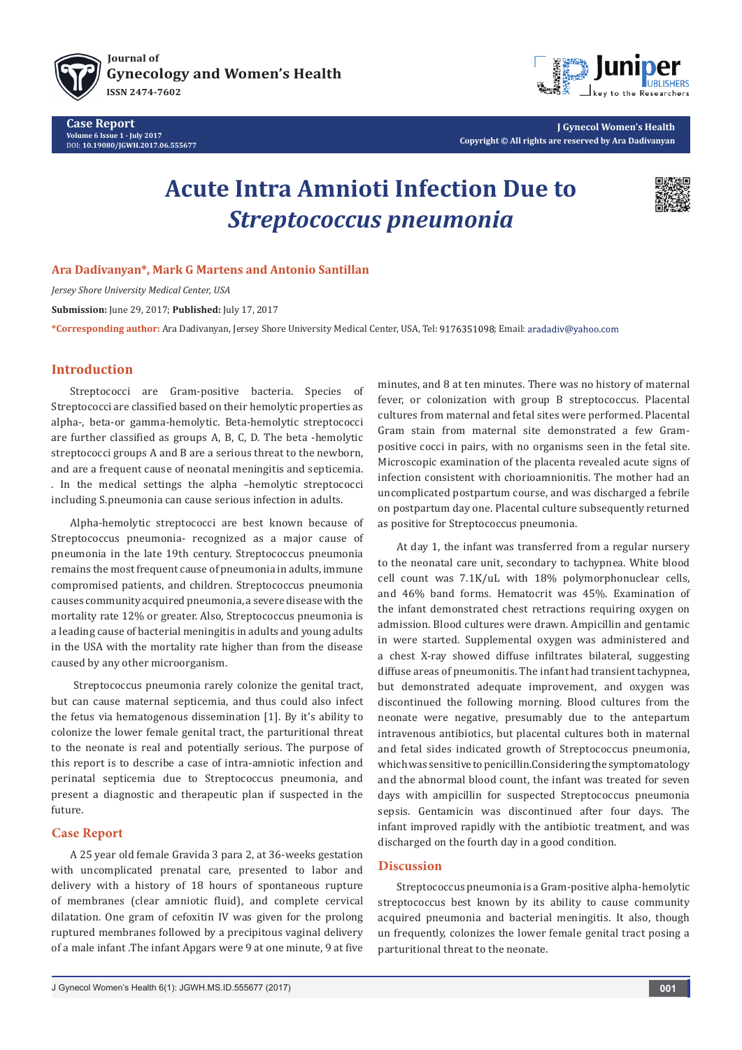

**[Journal of](http://juniperpublishers.com/jgwh/) [Gynecology and Women's Health](https://juniperpublishers.com/jgwh/articleinpress-jgwh.php) ISSN 2474-7602**

**Case Report Volume 6 Issue 1 - July 2017** DOI: **[10.19080/JGWH.2017.06.555677](http://dx.doi.org/10.19080/JGWH.2017.06.555677)**



**J Gynecol Women's Health Copyright © All rights are reserved by Ara Dadivanyan**

# **Acute Intra Amnioti Infection Due to**  *Streptococcus pneumonia*



## **Ara Dadivanyan\*, Mark G Martens and Antonio Santillan**

*Jersey Shore University Medical Center, USA*

**Submission:** June 29, 2017; **Published:** July 17, 2017

\*Corresponding author: Ara Dadivanyan, Jersey Shore University Medical Center, USA, Tel: 9176351098; Email: aradadiv@yahoo.com

#### **Introduction**

Streptococci are Gram-positive bacteria. Species of Streptococci are classified based on their hemolytic properties as alpha-, beta-or gamma-hemolytic. Beta-hemolytic streptococci are further classified as groups A, B, C, D. The beta -hemolytic streptococci groups A and B are a serious threat to the newborn, and are a frequent cause of neonatal meningitis and septicemia. . In the medical settings the alpha –hemolytic streptococci including S.pneumonia can cause serious infection in adults.

Alpha-hemolytic streptococci are best known because of Streptococcus pneumonia- recognized as a major cause of pneumonia in the late 19th century. Streptococcus pneumonia remains the most frequent cause of pneumonia in adults, immune compromised patients, and children. Streptococcus pneumonia causes community acquired pneumonia, a severe disease with the mortality rate 12% or greater. Also, Streptococcus pneumonia is a leading cause of bacterial meningitis in adults and young adults in the USA with the mortality rate higher than from the disease caused by any other microorganism.

 Streptococcus pneumonia rarely colonize the genital tract, but can cause maternal septicemia, and thus could also infect the fetus via hematogenous dissemination [1]. By it's ability to colonize the lower female genital tract, the parturitional threat to the neonate is real and potentially serious. The purpose of this report is to describe a case of intra-amniotic infection and perinatal septicemia due to Streptococcus pneumonia, and present a diagnostic and therapeutic plan if suspected in the future.

#### **Case Report**

A 25 year old female Gravida 3 para 2, at 36-weeks gestation with uncomplicated prenatal care, presented to labor and delivery with a history of 18 hours of spontaneous rupture of membranes (clear amniotic fluid), and complete cervical dilatation. One gram of cefoxitin IV was given for the prolong ruptured membranes followed by a precipitous vaginal delivery of a male infant .The infant Apgars were 9 at one minute, 9 at five

minutes, and 8 at ten minutes. There was no history of maternal fever, or colonization with group B streptococcus. Placental cultures from maternal and fetal sites were performed. Placental Gram stain from maternal site demonstrated a few Grampositive cocci in pairs, with no organisms seen in the fetal site. Microscopic examination of the placenta revealed acute signs of infection consistent with chorioamnionitis. The mother had an uncomplicated postpartum course, and was discharged a febrile on postpartum day one. Placental culture subsequently returned as positive for Streptococcus pneumonia.

At day 1, the infant was transferred from a regular nursery to the neonatal care unit, secondary to tachypnea. White blood cell count was 7.1K/uL with 18% polymorphonuclear cells, and 46% band forms. Hematocrit was 45%. Examination of the infant demonstrated chest retractions requiring oxygen on admission. Blood cultures were drawn. Ampicillin and gentamic in were started. Supplemental oxygen was administered and a chest X-ray showed diffuse infiltrates bilateral, suggesting diffuse areas of pneumonitis. The infant had transient tachypnea, but demonstrated adequate improvement, and oxygen was discontinued the following morning. Blood cultures from the neonate were negative, presumably due to the antepartum intravenous antibiotics, but placental cultures both in maternal and fetal sides indicated growth of Streptococcus pneumonia, which was sensitive to penicillin.Considering the symptomatology and the abnormal blood count, the infant was treated for seven days with ampicillin for suspected Streptococcus pneumonia sepsis. Gentamicin was discontinued after four days. The infant improved rapidly with the antibiotic treatment, and was discharged on the fourth day in a good condition.

## **Discussion**

Streptococcus pneumonia is a Gram-positive alpha-hemolytic streptococcus best known by its ability to cause community acquired pneumonia and bacterial meningitis. It also, though un frequently, colonizes the lower female genital tract posing a parturitional threat to the neonate.